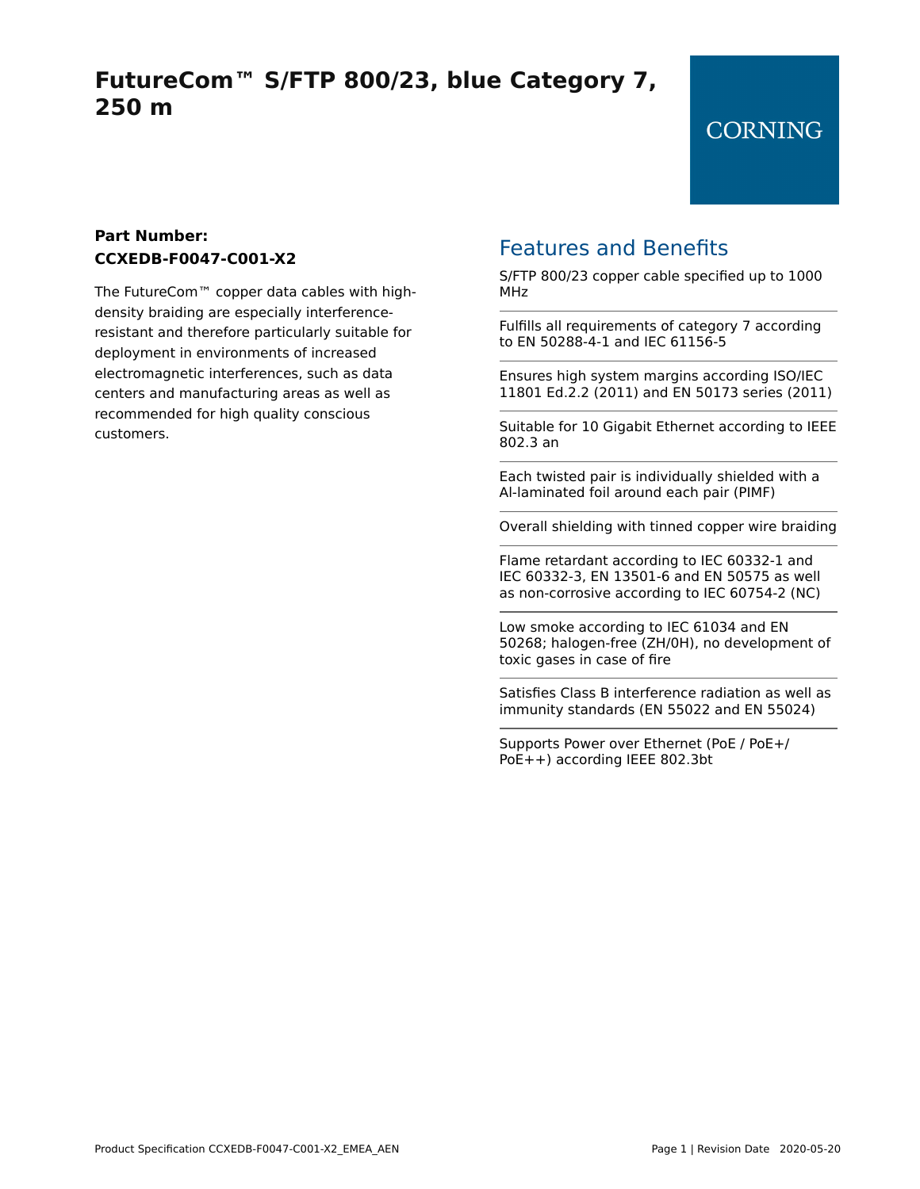# **FutureCom™ S/FTP 800/23, blue Category 7, 250 m**

#### **Part Number: CCXEDB-F0047-C001-X2**

The FutureCom™ copper data cables with highdensity braiding are especially interferenceresistant and therefore particularly suitable for deployment in environments of increased electromagnetic interferences, such as data centers and manufacturing areas as well as recommended for high quality conscious customers.

## Features and Benefits

S/FTP 800/23 copper cable specified up to 1000 MHz

Fulfills all requirements of category 7 according to EN 50288-4-1 and IEC 61156-5

Ensures high system margins according ISO/IEC 11801 Ed.2.2 (2011) and EN 50173 series (2011)

Suitable for 10 Gigabit Ethernet according to IEEE 802.3 an

Each twisted pair is individually shielded with a Al-laminated foil around each pair (PIMF)

Overall shielding with tinned copper wire braiding

Flame retardant according to IEC 60332-1 and IEC 60332-3, EN 13501-6 and EN 50575 as well as non-corrosive according to IEC 60754-2 (NC)

Low smoke according to IEC 61034 and EN 50268; halogen-free (ZH/0H), no development of toxic gases in case of fire

Satisfies Class B interference radiation as well as immunity standards (EN 55022 and EN 55024)

Supports Power over Ethernet (PoE / PoE+/ PoE++) according IEEE 802.3bt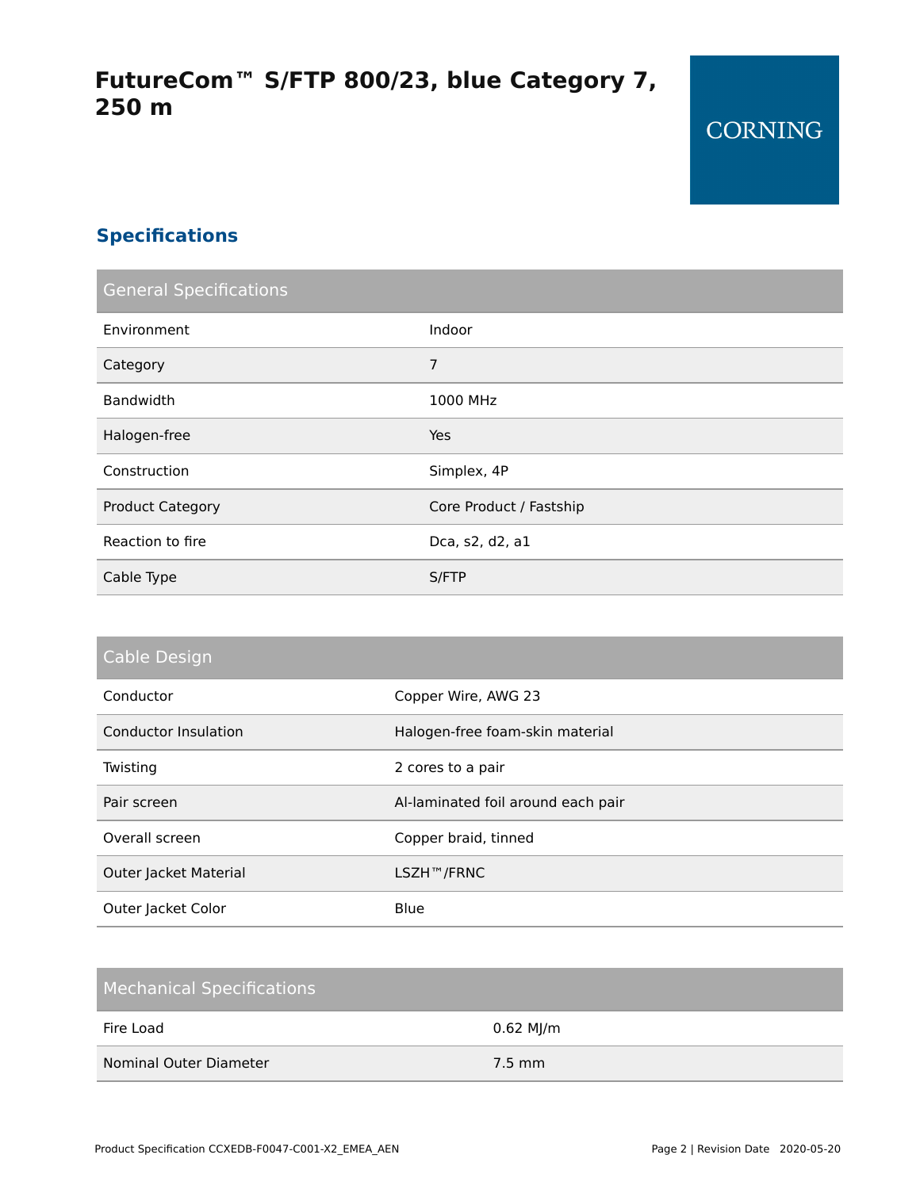### **Specifications**

| <b>General Specifications</b> |                         |  |  |  |
|-------------------------------|-------------------------|--|--|--|
| Environment                   | Indoor                  |  |  |  |
| Category                      | 7                       |  |  |  |
| Bandwidth                     | 1000 MHz                |  |  |  |
| Halogen-free                  | Yes                     |  |  |  |
| Construction                  | Simplex, 4P             |  |  |  |
| <b>Product Category</b>       | Core Product / Fastship |  |  |  |
| Reaction to fire              | Dca, s2, d2, a1         |  |  |  |
| Cable Type                    | S/FTP                   |  |  |  |

| Cable Design |  |  |  |  |
|--------------|--|--|--|--|
|              |  |  |  |  |
|              |  |  |  |  |

| Conductor             | Copper Wire, AWG 23                |
|-----------------------|------------------------------------|
| Conductor Insulation  | Halogen-free foam-skin material    |
| Twisting              | 2 cores to a pair                  |
| Pair screen           | Al-laminated foil around each pair |
| Overall screen        | Copper braid, tinned               |
| Outer Jacket Material | LSZH™/FRNC                         |
| Outer Jacket Color    | Blue                               |

| <b>Mechanical Specifications</b> |           |
|----------------------------------|-----------|
| Fire Load                        | 0.62 MJ/m |
| Nominal Outer Diameter           | $7.5$ mm  |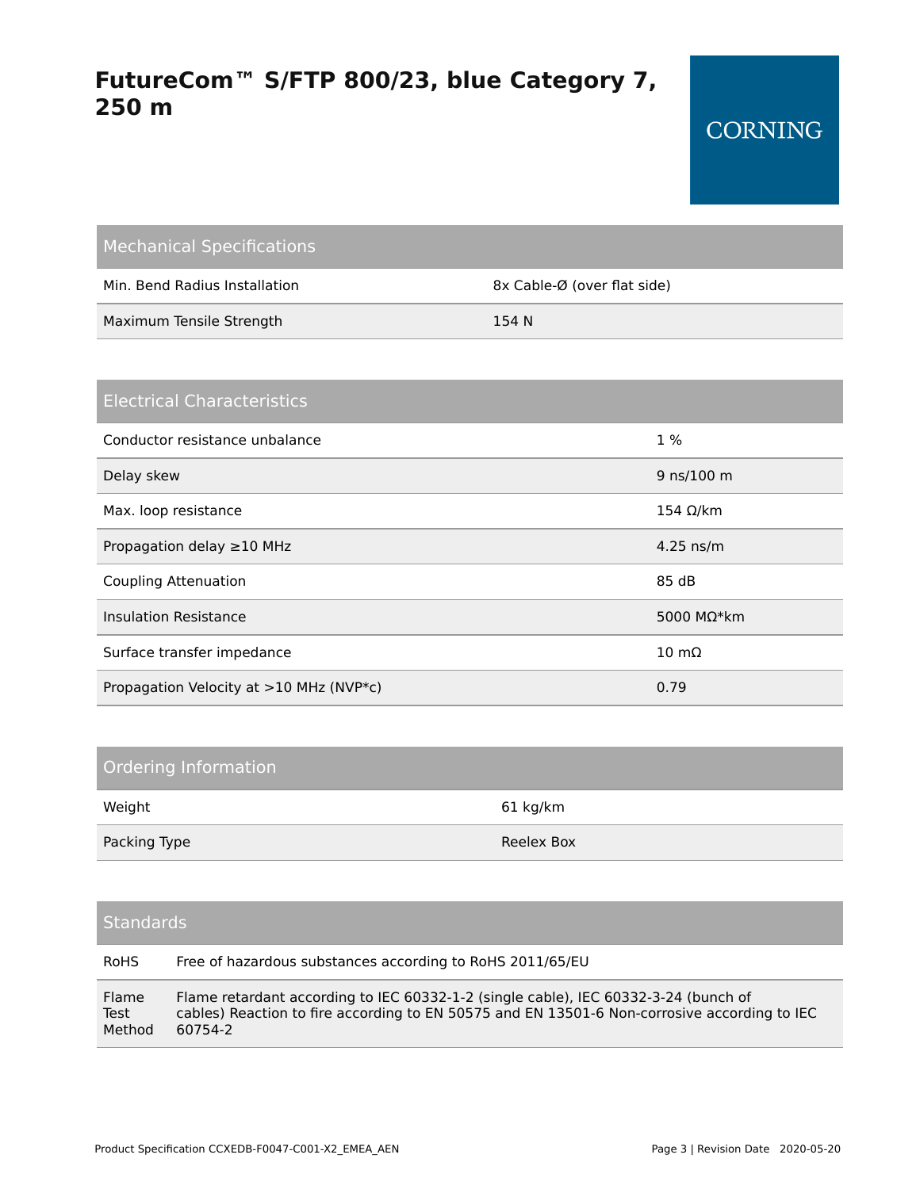| <b>Mechanical Specifications</b> |                             |
|----------------------------------|-----------------------------|
| Min. Bend Radius Installation    | 8x Cable-Ø (over flat side) |
| Maximum Tensile Strength         | 154 N                       |

| <b>Electrical Characteristics</b>       |                      |
|-----------------------------------------|----------------------|
| Conductor resistance unbalance          | $1\%$                |
| Delay skew                              | 9 ns/100 m           |
| Max. loop resistance                    | 154 $Ω/km$           |
| Propagation delay $\geq$ 10 MHz         | $4.25$ ns/m          |
| <b>Coupling Attenuation</b>             | 85 dB                |
| <b>Insulation Resistance</b>            | 5000 M $\Omega^*$ km |
| Surface transfer impedance              | $10 \text{ mA}$      |
| Propagation Velocity at >10 MHz (NVP*c) | 0.79                 |

### Ordering Information

| Weight       | 61 kg/km   |
|--------------|------------|
| Packing Type | Reelex Box |

#### **Standards**

| <b>RoHS</b> | Free of hazardous substances according to RoHS 2011/65/EU                                    |
|-------------|----------------------------------------------------------------------------------------------|
| Flame       | Flame retardant according to IEC 60332-1-2 (single cable), IEC 60332-3-24 (bunch of          |
| Test        | cables) Reaction to fire according to EN 50575 and EN 13501-6 Non-corrosive according to IEC |
| Method      | 60754-2                                                                                      |